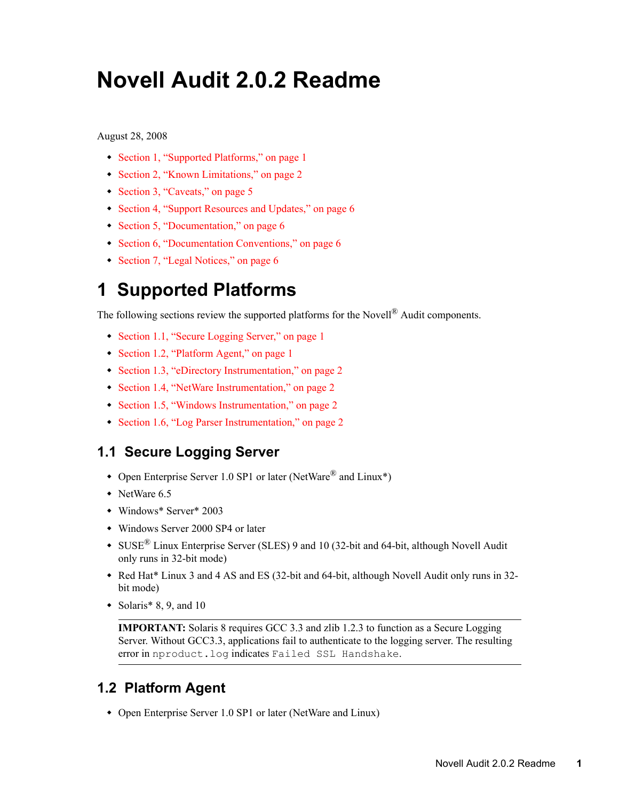# **Novell Audit 2.0.2 Readme**

August 28, 2008

- [Section 1, "Supported Platforms," on page 1](#page-0-0)
- [Section 2, "Known Limitations," on page 2](#page-1-0)
- [Section 3, "Caveats," on page 5](#page-4-0)
- [Section 4, "Support Resources and Updates," on page 6](#page-5-0)
- [Section 5, "Documentation," on page 6](#page-5-1)
- [Section 6, "Documentation Conventions," on page 6](#page-5-2)
- [Section 7, "Legal Notices," on page 6](#page-5-3)

## <span id="page-0-0"></span>**1 Supported Platforms**

The following sections review the supported platforms for the Novell® Audit components.

- [Section 1.1, "Secure Logging Server," on page 1](#page-0-1)
- [Section 1.2, "Platform Agent," on page 1](#page-0-2)
- [Section 1.3, "eDirectory Instrumentation," on page 2](#page-1-1)
- [Section 1.4, "NetWare Instrumentation," on page 2](#page-1-2)
- [Section 1.5, "Windows Instrumentation," on page 2](#page-1-3)
- [Section 1.6, "Log Parser Instrumentation," on page 2](#page-1-4)

#### <span id="page-0-1"></span>**1.1 Secure Logging Server**

- Open Enterprise Server 1.0 SP1 or later (NetWare<sup>®</sup> and Linux<sup>\*</sup>)
- NetWare 6.5
- Windows\* Server\* 2003
- Windows Server 2000 SP4 or later
- SUSE® Linux Enterprise Server (SLES) 9 and 10 (32-bit and 64-bit, although Novell Audit only runs in 32-bit mode)
- Red Hat\* Linux 3 and 4 AS and ES (32-bit and 64-bit, although Novell Audit only runs in 32 bit mode)
- Solaris\* 8, 9, and 10

**IMPORTANT:** Solaris 8 requires GCC 3.3 and zlib 1.2.3 to function as a Secure Logging Server. Without GCC3.3, applications fail to authenticate to the logging server. The resulting error in nproduct.log indicates Failed SSL Handshake.

### <span id="page-0-2"></span>**1.2 Platform Agent**

• Open Enterprise Server 1.0 SP1 or later (NetWare and Linux)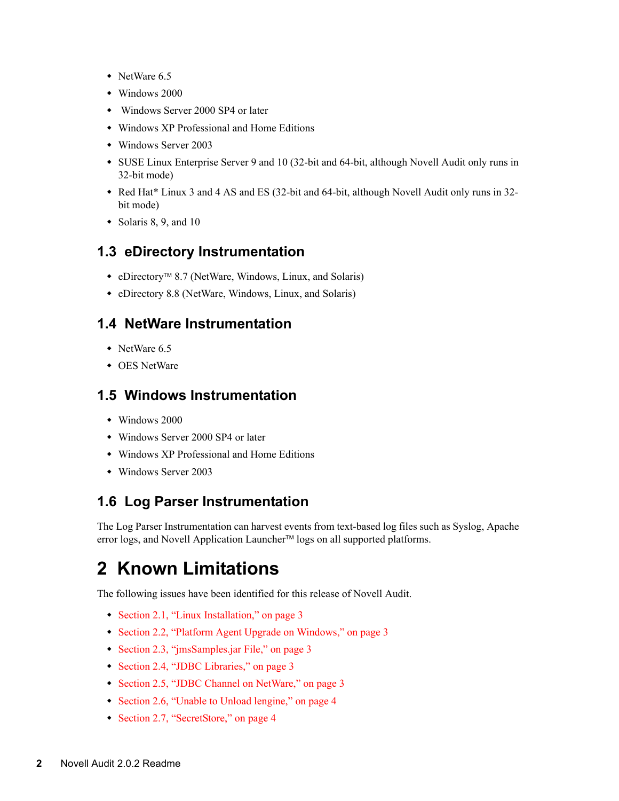- NetWare 6.5
- Windows 2000
- Windows Server 2000 SP4 or later
- Windows XP Professional and Home Editions
- Windows Server 2003
- SUSE Linux Enterprise Server 9 and 10 (32-bit and 64-bit, although Novell Audit only runs in 32-bit mode)
- Red Hat\* Linux 3 and 4 AS and ES (32-bit and 64-bit, although Novell Audit only runs in 32 bit mode)
- $\bullet$  Solaris 8, 9, and 10

#### <span id="page-1-1"></span>**1.3 eDirectory Instrumentation**

- eDirectoryTM 8.7 (NetWare, Windows, Linux, and Solaris)
- eDirectory 8.8 (NetWare, Windows, Linux, and Solaris)

#### <span id="page-1-2"></span>**1.4 NetWare Instrumentation**

- NetWare 6.5
- OES NetWare

#### <span id="page-1-3"></span>**1.5 Windows Instrumentation**

- Windows 2000
- Windows Server 2000 SP4 or later
- Windows XP Professional and Home Editions
- Windows Server 2003

#### <span id="page-1-4"></span>**1.6 Log Parser Instrumentation**

The Log Parser Instrumentation can harvest events from text-based log files such as Syslog, Apache error logs, and Novell Application Launcher<sup>™</sup> logs on all supported platforms.

### <span id="page-1-0"></span>**2 Known Limitations**

The following issues have been identified for this release of Novell Audit.

- [Section 2.1, "Linux Installation," on page 3](#page-2-0)
- [Section 2.2, "Platform Agent Upgrade on Windows," on page 3](#page-2-1)
- [Section 2.3, "jmsSamples.jar File," on page 3](#page-2-2)
- [Section 2.4, "JDBC Libraries," on page 3](#page-2-3)
- [Section 2.5, "JDBC Channel on NetWare," on page 3](#page-2-4)
- [Section 2.6, "Unable to Unload lengine," on page 4](#page-3-0)
- [Section 2.7, "SecretStore," on page 4](#page-3-1)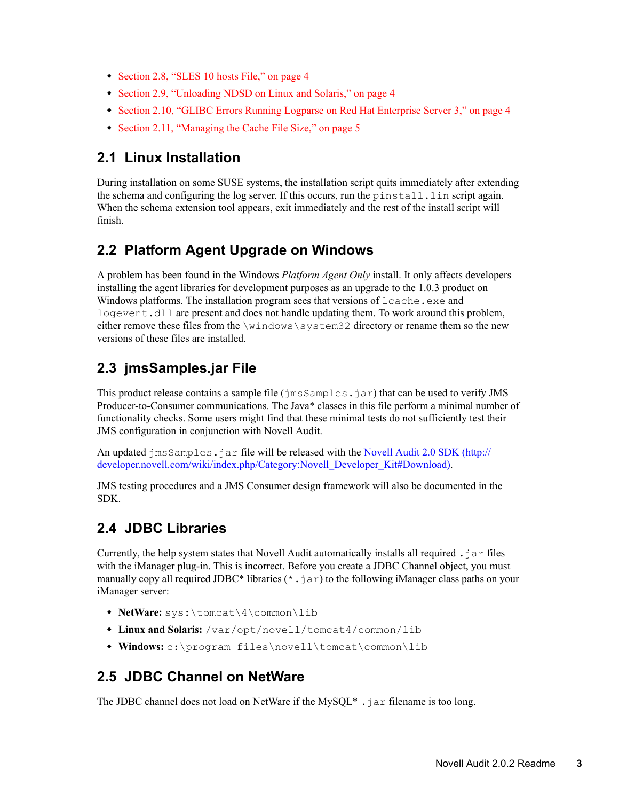- [Section 2.8, "SLES 10 hosts File," on page 4](#page-3-2)
- [Section 2.9, "Unloading NDSD on Linux and Solaris," on page 4](#page-3-3)
- [Section 2.10, "GLIBC Errors Running Logparse on Red Hat Enterprise Server 3," on page 4](#page-3-4)
- [Section 2.11, "Managing the Cache File Size," on page 5](#page-4-1)

#### <span id="page-2-0"></span>**2.1 Linux Installation**

During installation on some SUSE systems, the installation script quits immediately after extending the schema and configuring the log server. If this occurs, run the  $pinstall.lin$  script again. When the schema extension tool appears, exit immediately and the rest of the install script will finish.

#### <span id="page-2-1"></span>**2.2 Platform Agent Upgrade on Windows**

A problem has been found in the Windows *Platform Agent Only* install. It only affects developers installing the agent libraries for development purposes as an upgrade to the 1.0.3 product on Windows platforms. The installation program sees that versions of lcache.exe and logevent.dll are present and does not handle updating them. To work around this problem, either remove these files from the \windows\system32 directory or rename them so the new versions of these files are installed.

### <span id="page-2-2"></span>**2.3 jmsSamples.jar File**

This product release contains a sample file (jmsSamples.jar) that can be used to verify JMS Producer-to-Consumer communications. The Java\* classes in this file perform a minimal number of functionality checks. Some users might find that these minimal tests do not sufficiently test their JMS configuration in conjunction with Novell Audit.

An updated jms Samples. jar file will be released with the [Novell Audit 2.0 SDK](http://developer.novell.com/wiki/index.php/Category:Novell_Developer_Kit#Download) (http:// developer.novell.com/wiki/index.php/Category:Novell\_Developer\_Kit#Download).

JMS testing procedures and a JMS Consumer design framework will also be documented in the SDK.

#### <span id="page-2-3"></span>**2.4 JDBC Libraries**

Currently, the help system states that Novell Audit automatically installs all required  $\cdot$  jar files with the iManager plug-in. This is incorrect. Before you create a JDBC Channel object, you must manually copy all required JDBC\* libraries  $(*,jar)$  to the following iManager class paths on your iManager server:

- **NetWare:** sys:\tomcat\4\common\lib
- **Linux and Solaris:** /var/opt/novell/tomcat4/common/lib
- **Windows:** c:\program files\novell\tomcat\common\lib

#### <span id="page-2-4"></span>**2.5 JDBC Channel on NetWare**

The JDBC channel does not load on NetWare if the MySQL $*$ . jar filename is too long.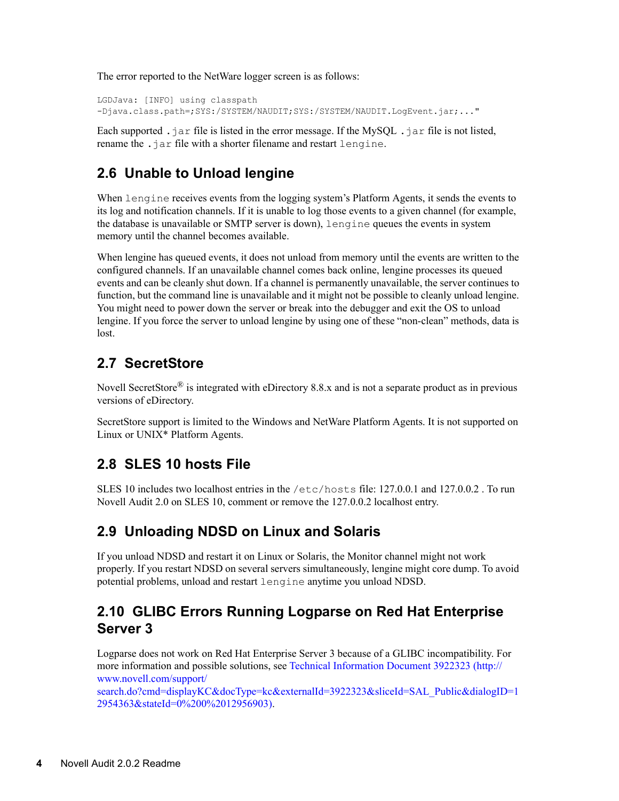The error reported to the NetWare logger screen is as follows:

LGDJava: [INFO] using classpath -Djava.class.path=;SYS:/SYSTEM/NAUDIT;SYS:/SYSTEM/NAUDIT.LogEvent.jar;..."

Each supported  $\cdot$  jar file is listed in the error message. If the MySQL  $\cdot$  jar file is not listed, rename the .jar file with a shorter filename and restart lengine.

### <span id="page-3-0"></span>**2.6 Unable to Unload lengine**

When lengine receives events from the logging system's Platform Agents, it sends the events to its log and notification channels. If it is unable to log those events to a given channel (for example, the database is unavailable or SMTP server is down), lengine queues the events in system memory until the channel becomes available.

When lengine has queued events, it does not unload from memory until the events are written to the configured channels. If an unavailable channel comes back online, lengine processes its queued events and can be cleanly shut down. If a channel is permanently unavailable, the server continues to function, but the command line is unavailable and it might not be possible to cleanly unload lengine. You might need to power down the server or break into the debugger and exit the OS to unload lengine. If you force the server to unload lengine by using one of these "non-clean" methods, data is lost.

### <span id="page-3-1"></span>**2.7 SecretStore**

Novell SecretStore<sup>®</sup> is integrated with eDirectory 8.8.x and is not a separate product as in previous versions of eDirectory.

SecretStore support is limited to the Windows and NetWare Platform Agents. It is not supported on Linux or UNIX\* Platform Agents.

### <span id="page-3-2"></span>**2.8 SLES 10 hosts File**

SLES 10 includes two localhost entries in the  $/etc$  hosts file: 127.0.0.1 and 127.0.0.2. To run Novell Audit 2.0 on SLES 10, comment or remove the 127.0.0.2 localhost entry.

### <span id="page-3-3"></span>**2.9 Unloading NDSD on Linux and Solaris**

If you unload NDSD and restart it on Linux or Solaris, the Monitor channel might not work properly. If you restart NDSD on several servers simultaneously, lengine might core dump. To avoid potential problems, unload and restart lengine anytime you unload NDSD.

#### <span id="page-3-4"></span>**2.10 GLIBC Errors Running Logparse on Red Hat Enterprise Server 3**

Logparse does not work on Red Hat Enterprise Server 3 because of a GLIBC incompatibility. For more information and possible solutions, see [Technical Information Document 3922323](http://www.novell.com/support/search.do?cmd=displayKC&docType=kc&externalId=3922323&sliceId=SAL_Public&dialogID=12954363&stateId=0%200%2012956903) (http:// www.novell.com/support/

search.do?cmd=displayKC&docType=kc&externalId=3922323&sliceId=SAL\_Public&dialogID=1 2954363&stateId=0%200%2012956903).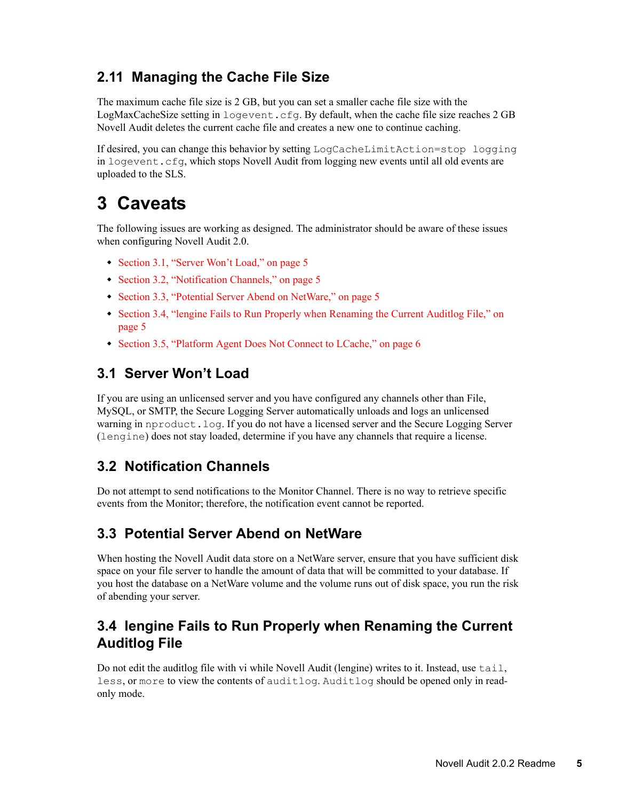### <span id="page-4-1"></span>**2.11 Managing the Cache File Size**

The maximum cache file size is 2 GB, but you can set a smaller cache file size with the LogMaxCacheSize setting in logevent.cfg. By default, when the cache file size reaches 2 GB Novell Audit deletes the current cache file and creates a new one to continue caching.

If desired, you can change this behavior by setting LogCacheLimitAction=stop logging in logevent.cfg, which stops Novell Audit from logging new events until all old events are uploaded to the SLS.

## <span id="page-4-0"></span>**3 Caveats**

The following issues are working as designed. The administrator should be aware of these issues when configuring Novell Audit 2.0.

- [Section 3.1, "Server Won't Load," on page 5](#page-4-2)
- [Section 3.2, "Notification Channels," on page 5](#page-4-3)
- [Section 3.3, "Potential Server Abend on NetWare," on page 5](#page-4-4)
- Section 3.4, "lengine Fails to Run Properly when Renaming the Current Auditlog File," on [page 5](#page-4-5)
- [Section 3.5, "Platform Agent Does Not Connect to LCache," on page 6](#page-5-4)

#### <span id="page-4-2"></span>**3.1 Server Won't Load**

If you are using an unlicensed server and you have configured any channels other than File, MySQL, or SMTP, the Secure Logging Server automatically unloads and logs an unlicensed warning in nproduct.log. If you do not have a licensed server and the Secure Logging Server (lengine) does not stay loaded, determine if you have any channels that require a license.

### <span id="page-4-3"></span>**3.2 Notification Channels**

Do not attempt to send notifications to the Monitor Channel. There is no way to retrieve specific events from the Monitor; therefore, the notification event cannot be reported.

### <span id="page-4-4"></span>**3.3 Potential Server Abend on NetWare**

When hosting the Novell Audit data store on a NetWare server, ensure that you have sufficient disk space on your file server to handle the amount of data that will be committed to your database. If you host the database on a NetWare volume and the volume runs out of disk space, you run the risk of abending your server.

#### <span id="page-4-5"></span>**3.4 lengine Fails to Run Properly when Renaming the Current Auditlog File**

Do not edit the auditlog file with vi while Novell Audit (lengine) writes to it. Instead, use tail, less, or more to view the contents of auditlog. Auditlog should be opened only in readonly mode.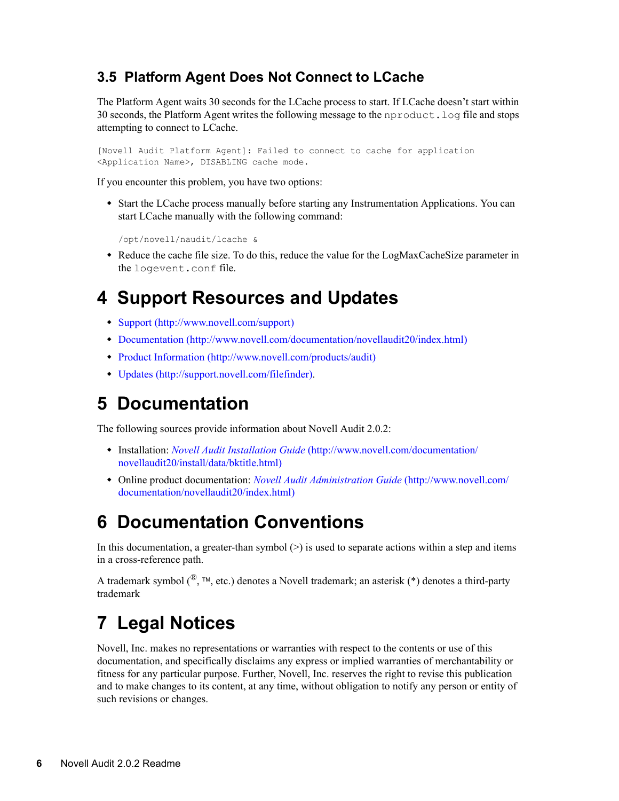### <span id="page-5-4"></span>**3.5 Platform Agent Does Not Connect to LCache**

The Platform Agent waits 30 seconds for the LCache process to start. If LCache doesn't start within 30 seconds, the Platform Agent writes the following message to the nproduct.log file and stops attempting to connect to LCache.

[Novell Audit Platform Agent]: Failed to connect to cache for application <Application Name>, DISABLING cache mode.

If you encounter this problem, you have two options:

 Start the LCache process manually before starting any Instrumentation Applications. You can start LCache manually with the following command:

/opt/novell/naudit/lcache &

 Reduce the cache file size. To do this, reduce the value for the LogMaxCacheSize parameter in the logevent.conf file.

## <span id="page-5-0"></span>**4 Support Resources and Updates**

- [Support](http://www.novell.com/support) (http://www.novell.com/support)
- [Documentation](http://www.novell.com/documentation/novellaudit20/index.html) (http://www.novell.com/documentation/novellaudit20/index.html)
- [Product Information](http://www.novell.com/products/audit) (http://www.novell.com/products/audit)
- [Updates](http://support.novell.com/filefinder) (http://support.novell.com/filefinder).

## <span id="page-5-1"></span>**5 Documentation**

The following sources provide information about Novell Audit 2.0.2:

- Installation: *[Novell Audit Installation Guide](http://www.novell.com/documentation/novellaudit20/install/data/bktitle.html)* (http://www.novell.com/documentation/ novellaudit20/install/data/bktitle.html)
- Online product documentation: *[Novell Audit Administration Guide](http://www.novell.com/documentation/novellaudit20/index.html)* (http://www.novell.com/ documentation/novellaudit20/index.html)

## <span id="page-5-2"></span>**6 Documentation Conventions**

In this documentation, a greater-than symbol  $(>)$  is used to separate actions within a step and items in a cross-reference path.

A trademark symbol  $(\mathbb{R}, \mathbb{M})$ , etc.) denotes a Novell trademark; an asterisk  $(*)$  denotes a third-party trademark

## <span id="page-5-3"></span>**7 Legal Notices**

Novell, Inc. makes no representations or warranties with respect to the contents or use of this documentation, and specifically disclaims any express or implied warranties of merchantability or fitness for any particular purpose. Further, Novell, Inc. reserves the right to revise this publication and to make changes to its content, at any time, without obligation to notify any person or entity of such revisions or changes.